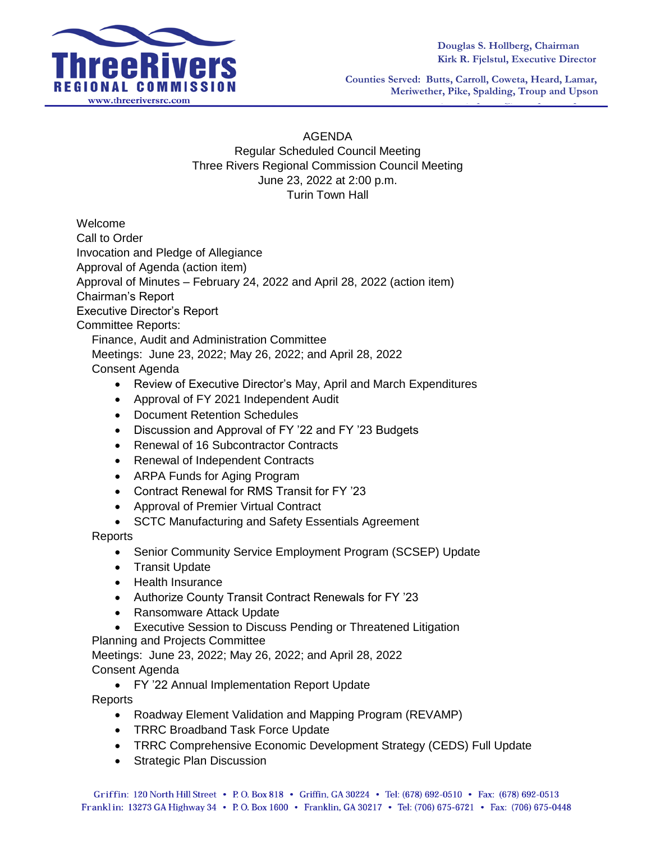

**Counties Served: Butts, Carroll, Coweta, Heard, Lamar, Meriwether, Pike, Spalding, Troup and Upson**

## AGENDA

Regular Scheduled Council Meeting Three Rivers Regional Commission Council Meeting June 23, 2022 at 2:00 p.m. Turin Town Hall

Welcome

Call to Order

Invocation and Pledge of Allegiance

Approval of Agenda (action item)

Approval of Minutes – February 24, 2022 and April 28, 2022 (action item)

Chairman's Report

Executive Director's Report

## Committee Reports:

Finance, Audit and Administration Committee

Meetings: June 23, 2022; May 26, 2022; and April 28, 2022 Consent Agenda

- Review of Executive Director's May, April and March Expenditures
- Approval of FY 2021 Independent Audit
- Document Retention Schedules
- Discussion and Approval of FY '22 and FY '23 Budgets
- Renewal of 16 Subcontractor Contracts
- Renewal of Independent Contracts
- ARPA Funds for Aging Program
- Contract Renewal for RMS Transit for FY '23
- Approval of Premier Virtual Contract
- SCTC Manufacturing and Safety Essentials Agreement

## Reports

- Senior Community Service Employment Program (SCSEP) Update
- Transit Update
- Health Insurance
- Authorize County Transit Contract Renewals for FY '23
- Ransomware Attack Update
- Executive Session to Discuss Pending or Threatened Litigation

Planning and Projects Committee

Meetings: June 23, 2022; May 26, 2022; and April 28, 2022 Consent Agenda

FY '22 Annual Implementation Report Update

Reports

- Roadway Element Validation and Mapping Program (REVAMP)
- TRRC Broadband Task Force Update
- TRRC Comprehensive Economic Development Strategy (CEDS) Full Update
- Strategic Plan Discussion